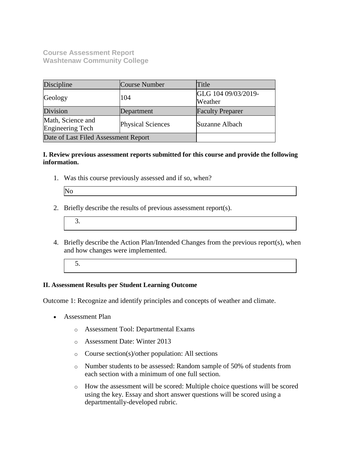**Course Assessment Report Washtenaw Community College**

| Discipline                            | <b>Course Number</b>     | Title                          |
|---------------------------------------|--------------------------|--------------------------------|
| Geology                               | 104                      | GLG 104 09/03/2019-<br>Weather |
| Division                              | Department               | <b>Faculty Preparer</b>        |
| Math, Science and<br>Engineering Tech | <b>Physical Sciences</b> | Suzanne Albach                 |
| Date of Last Filed Assessment Report  |                          |                                |

## **I. Review previous assessment reports submitted for this course and provide the following information.**

1. Was this course previously assessed and if so, when?

| IN |  |
|----|--|
|    |  |
|    |  |
|    |  |

- 2. Briefly describe the results of previous assessment report(s).
	- 3.
- 4. Briefly describe the Action Plan/Intended Changes from the previous report(s), when and how changes were implemented.
	- 5.

## **II. Assessment Results per Student Learning Outcome**

Outcome 1: Recognize and identify principles and concepts of weather and climate.

- Assessment Plan
	- o Assessment Tool: Departmental Exams
	- o Assessment Date: Winter 2013
	- o Course section(s)/other population: All sections
	- o Number students to be assessed: Random sample of 50% of students from each section with a minimum of one full section.
	- o How the assessment will be scored: Multiple choice questions will be scored using the key. Essay and short answer questions will be scored using a departmentally-developed rubric.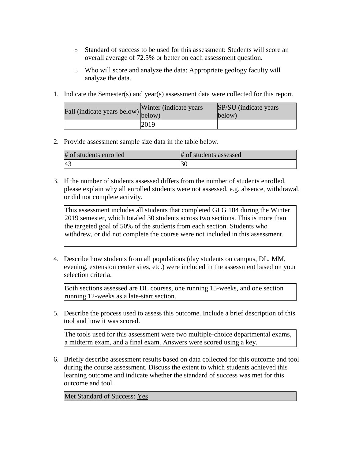- o Standard of success to be used for this assessment: Students will score an overall average of 72.5% or better on each assessment question.
- o Who will score and analyze the data: Appropriate geology faculty will analyze the data.
- 1. Indicate the Semester(s) and year(s) assessment data were collected for this report.

| Fall (indicate years below) $\begin{bmatrix}$ w line | Winter (indicate years) | SP/SU (indicate years)<br>below) |
|------------------------------------------------------|-------------------------|----------------------------------|
|                                                      | 2019                    |                                  |

## 2. Provide assessment sample size data in the table below.

| # of students enrolled | # of students assessed |
|------------------------|------------------------|
| 4.1                    |                        |

3. If the number of students assessed differs from the number of students enrolled, please explain why all enrolled students were not assessed, e.g. absence, withdrawal, or did not complete activity.

This assessment includes all students that completed GLG 104 during the Winter 2019 semester, which totaled 30 students across two sections. This is more than the targeted goal of 50% of the students from each section. Students who withdrew, or did not complete the course were not included in this assessment.

4. Describe how students from all populations (day students on campus, DL, MM, evening, extension center sites, etc.) were included in the assessment based on your selection criteria.

Both sections assessed are DL courses, one running 15-weeks, and one section running 12-weeks as a late-start section.

5. Describe the process used to assess this outcome. Include a brief description of this tool and how it was scored.

The tools used for this assessment were two multiple-choice departmental exams, a midterm exam, and a final exam. Answers were scored using a key.

6. Briefly describe assessment results based on data collected for this outcome and tool during the course assessment. Discuss the extent to which students achieved this learning outcome and indicate whether the standard of success was met for this outcome and tool.

Met Standard of Success: Yes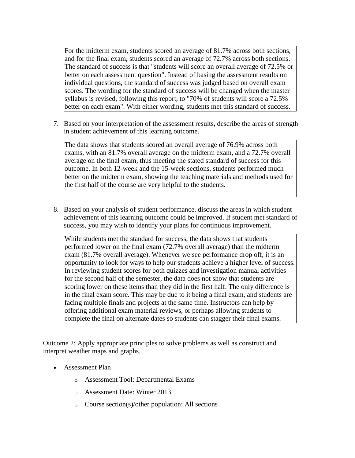For the midterm exam, students scored an average of 81.7% across both sections, and for the final exam, students scored an average of 72.7% across both sections. The standard of success is that "students will score an overall average of 72.5% or better on each assessment question". Instead of basing the assessment results on individual questions, the standard of success was judged based on overall exam scores. The wording for the standard of success will be changed when the master syllabus is revised, following this report, to "70% of students will score a 72.5% better on each exam". With either wording, students met this standard of success.

7. Based on your interpretation of the assessment results, describe the areas of strength in student achievement of this learning outcome.

The data shows that students scored an overall average of 76.9% across both exams, with an 81.7% overall average on the midterm exam, and a 72.7% overall average on the final exam, thus meeting the stated standard of success for this outcome. In both 12-week and the 15-week sections, students performed much better on the midterm exam, showing the teaching materials and methods used for the first half of the course are very helpful to the students.

8. Based on your analysis of student performance, discuss the areas in which student achievement of this learning outcome could be improved. If student met standard of success, you may wish to identify your plans for continuous improvement.

While students met the standard for success, the data shows that students performed lower on the final exam (72.7% overall average) than the midterm exam (81.7% overall average). Whenever we see performance drop off, it is an opportunity to look for ways to help our students achieve a higher level of success. In reviewing student scores for both quizzes and investigation manual activities for the second half of the semester, the data does not show that students are scoring lower on these items than they did in the first half. The only difference is in the final exam score. This may be due to it being a final exam, and students are facing multiple finals and projects at the same time. Instructors can help by offering additional exam material reviews, or perhaps allowing students to complete the final on alternate dates so students can stagger their final exams.

Outcome 2: Apply appropriate principles to solve problems as well as construct and interpret weather maps and graphs.

- Assessment Plan
	- o Assessment Tool: Departmental Exams
	- o Assessment Date: Winter 2013
	- o Course section(s)/other population: All sections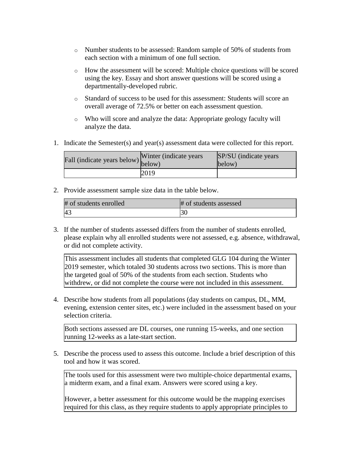- o Number students to be assessed: Random sample of 50% of students from each section with a minimum of one full section.
- o How the assessment will be scored: Multiple choice questions will be scored using the key. Essay and short answer questions will be scored using a departmentally-developed rubric.
- o Standard of success to be used for this assessment: Students will score an overall average of 72.5% or better on each assessment question.
- o Who will score and analyze the data: Appropriate geology faculty will analyze the data.
- 1. Indicate the Semester(s) and year(s) assessment data were collected for this report.

| Fall (indicate years below) below) | Winter (indicate years) | SP/SU (indicate years)<br>below) |
|------------------------------------|-------------------------|----------------------------------|
|                                    | 2019                    |                                  |

2. Provide assessment sample size data in the table below.

| # of students enrolled | # of students assessed |
|------------------------|------------------------|
|                        |                        |

3. If the number of students assessed differs from the number of students enrolled, please explain why all enrolled students were not assessed, e.g. absence, withdrawal, or did not complete activity.

This assessment includes all students that completed GLG 104 during the Winter 2019 semester, which totaled 30 students across two sections. This is more than the targeted goal of 50% of the students from each section. Students who withdrew, or did not complete the course were not included in this assessment.

4. Describe how students from all populations (day students on campus, DL, MM, evening, extension center sites, etc.) were included in the assessment based on your selection criteria.

Both sections assessed are DL courses, one running 15-weeks, and one section running 12-weeks as a late-start section.

5. Describe the process used to assess this outcome. Include a brief description of this tool and how it was scored.

The tools used for this assessment were two multiple-choice departmental exams, a midterm exam, and a final exam. Answers were scored using a key.

However, a better assessment for this outcome would be the mapping exercises required for this class, as they require students to apply appropriate principles to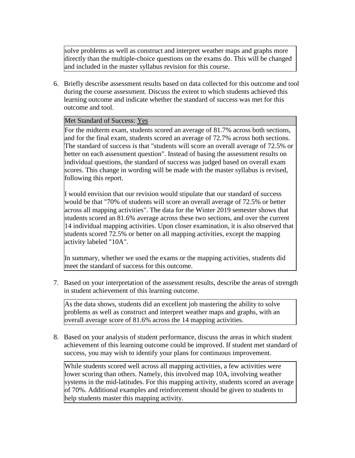solve problems as well as construct and interpret weather maps and graphs more directly than the multiple-choice questions on the exams do. This will be changed and included in the master syllabus revision for this course.

6. Briefly describe assessment results based on data collected for this outcome and tool during the course assessment. Discuss the extent to which students achieved this learning outcome and indicate whether the standard of success was met for this outcome and tool.

## Met Standard of Success: Yes

For the midterm exam, students scored an average of 81.7% across both sections, and for the final exam, students scored an average of 72.7% across both sections. The standard of success is that "students will score an overall average of 72.5% or better on each assessment question". Instead of basing the assessment results on individual questions, the standard of success was judged based on overall exam scores. This change in wording will be made with the master syllabus is revised, following this report.

I would envision that our revision would stipulate that our standard of success would be that "70% of students will score an overall average of 72.5% or better across all mapping activities". The data for the Winter 2019 semester shows that students scored an 81.6% average across these two sections, and over the current 14 individual mapping activities. Upon closer examination, it is also observed that students scored 72.5% or better on all mapping activities, except the mapping activity labeled "10A".

In summary, whether we used the exams or the mapping activities, students did meet the standard of success for this outcome.

7. Based on your interpretation of the assessment results, describe the areas of strength in student achievement of this learning outcome.

As the data shows, students did an excellent job mastering the ability to solve problems as well as construct and interpret weather maps and graphs, with an overall average score of 81.6% across the 14 mapping activities.

8. Based on your analysis of student performance, discuss the areas in which student achievement of this learning outcome could be improved. If student met standard of success, you may wish to identify your plans for continuous improvement.

While students scored well across all mapping activities, a few activities were lower scoring than others. Namely, this involved map 10A, involving weather systems in the mid-latitudes. For this mapping activity, students scored an average of 70%. Additional examples and reinforcement should be given to students to help students master this mapping activity.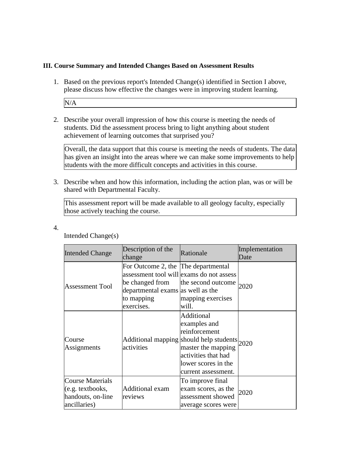#### **III. Course Summary and Intended Changes Based on Assessment Results**

1. Based on the previous report's Intended Change(s) identified in Section I above, please discuss how effective the changes were in improving student learning.

N/A

2. Describe your overall impression of how this course is meeting the needs of students. Did the assessment process bring to light anything about student achievement of learning outcomes that surprised you?

Overall, the data support that this course is meeting the needs of students. The data has given an insight into the areas where we can make some improvements to help students with the more difficult concepts and activities in this course.

3. Describe when and how this information, including the action plan, was or will be shared with Departmental Faculty.

This assessment report will be made available to all geology faculty, especially those actively teaching the course.

4.

| <b>Intended Change</b>                                                                    | Description of the<br>change                                                                                            | Rationale                                                                                                                                                                              | Implementation<br>Date |
|-------------------------------------------------------------------------------------------|-------------------------------------------------------------------------------------------------------------------------|----------------------------------------------------------------------------------------------------------------------------------------------------------------------------------------|------------------------|
| <b>Assessment Tool</b>                                                                    | For Outcome 2, the The departmental<br>be changed from<br>departmental exams as well as the<br>to mapping<br>exercises. | assessment tool will exams do not assess<br>the second outcome<br>mapping exercises<br>will.                                                                                           | 2020                   |
| Course<br>Assignments                                                                     | activities                                                                                                              | Additional<br>examples and<br>reinforcement<br>Additional mapping should help students 2020<br>master the mapping<br>activities that had<br>lower scores in the<br>current assessment. |                        |
| <b>Course Materials</b><br>$(e.g. \text{textbooks},$<br>handouts, on-line<br>ancillaries) | <b>Additional exam</b><br>reviews                                                                                       | To improve final<br>exam scores, as the<br>assessment showed<br>average scores were                                                                                                    | 2020                   |

Intended Change(s)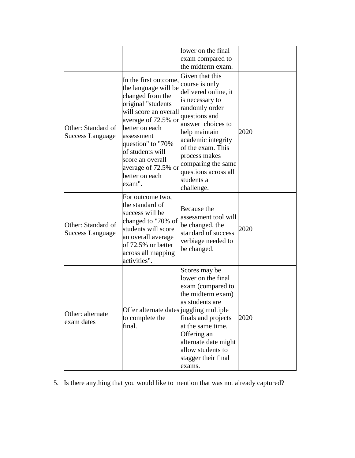|                                               |                                                                                                                                                                                                                                                                                         | lower on the final<br>exam compared to<br>the midterm exam.                                                                                                                                                                                                                                 |      |
|-----------------------------------------------|-----------------------------------------------------------------------------------------------------------------------------------------------------------------------------------------------------------------------------------------------------------------------------------------|---------------------------------------------------------------------------------------------------------------------------------------------------------------------------------------------------------------------------------------------------------------------------------------------|------|
| Other: Standard of<br><b>Success Language</b> | In the first outcome,<br>the language will be<br>changed from the<br>original "students<br>will score an overall<br>average of 72.5% or<br>better on each<br>assessment<br>question" to "70%<br>of students will<br>score an overall<br>average of 72.5% or<br>better on each<br>exam". | Given that this<br>course is only<br>delivered online, it<br>is necessary to<br>randomly order<br>questions and<br>answer choices to<br>help maintain<br>academic integrity<br>of the exam. This<br>process makes<br>comparing the same<br>questions across all<br>students a<br>challenge. | 2020 |
| Other: Standard of<br><b>Success Language</b> | For outcome two,<br>the standard of<br>success will be<br>changed to "70% of<br>students will score<br>an overall average<br>of 72.5% or better<br>across all mapping<br>activities".                                                                                                   | Because the<br>assessment tool will<br>be changed, the<br>standard of success<br>verbiage needed to<br>be changed.                                                                                                                                                                          | 2020 |
| Other: alternate<br>exam dates                | Offer alternate dates juggling multiple<br>to complete the<br>final.                                                                                                                                                                                                                    | Scores may be<br>lower on the final<br>exam (compared to<br>the midterm exam)<br>las students are<br>finals and projects<br>at the same time.<br>Offering an<br>alternate date might<br>allow students to<br>stagger their final<br>exams.                                                  | 2020 |

5. Is there anything that you would like to mention that was not already captured?